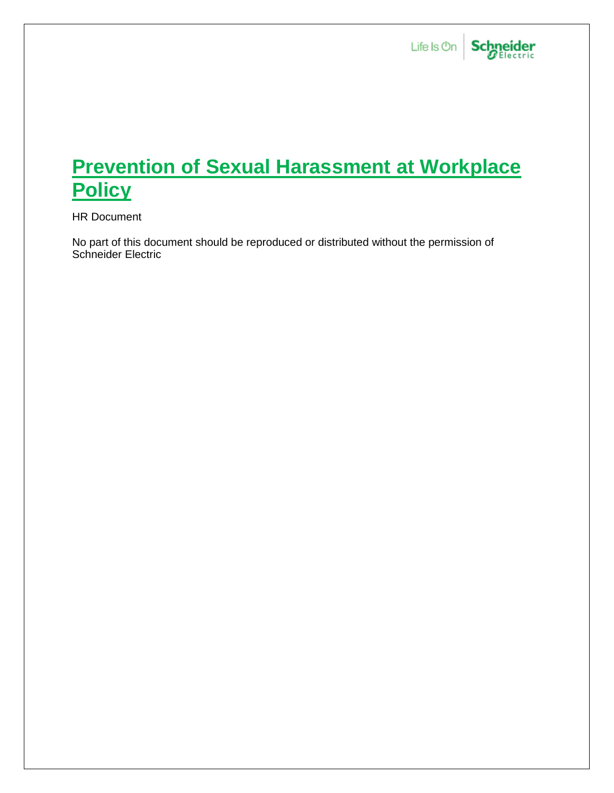

## **Prevention of Sexual Harassment at Workplace Policy**

HR Document

No part of this document should be reproduced or distributed without the permission of Schneider Electric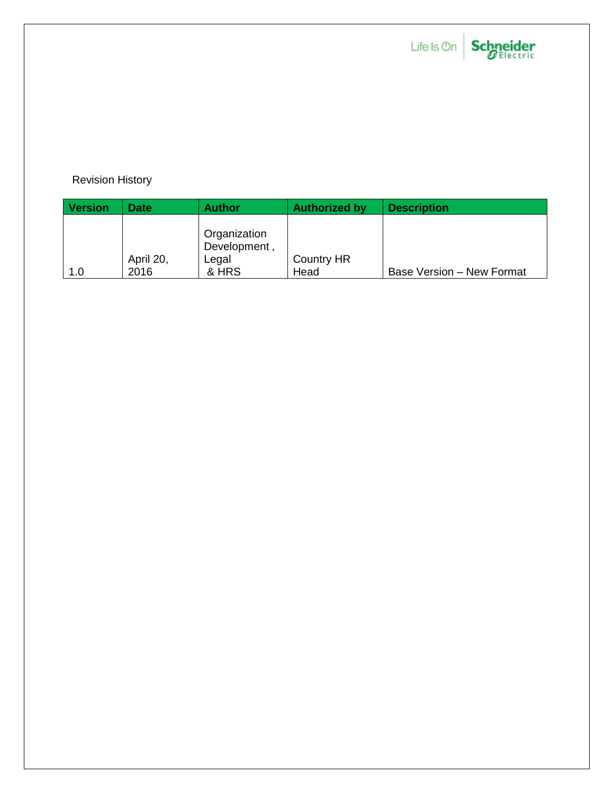

# Life Is On Schneider

### Revision History

| <b>Version</b> | <b>Date</b> | <b>Author</b> | <b>Authorized by</b> | <b>Description</b>        |
|----------------|-------------|---------------|----------------------|---------------------------|
|                |             |               |                      |                           |
|                |             | Organization  |                      |                           |
|                |             | Development,  |                      |                           |
|                | April 20,   | Legal         | <b>Country HR</b>    |                           |
| 1.0            | 2016        | & HRS         | Head                 | Base Version - New Format |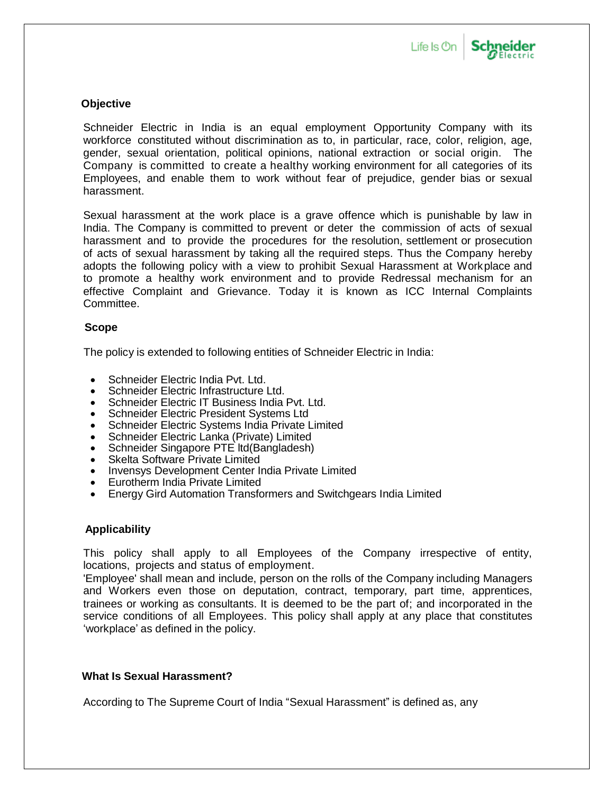

## **Schneider**

#### **Objective**

Schneider Electric in India is an equal employment Opportunity Company with its workforce constituted without discrimination as to, in particular, race, color, religion, age, gender, sexual orientation, political opinions, national extraction or social origin. The Company is committed to create a healthy working environment for all categories of its Employees, and enable them to work without fear of prejudice, gender bias or sexual harassment.

Sexual harassment at the work place is a grave offence which is punishable by law in India. The Company is committed to prevent or deter the commission of acts of sexual harassment and to provide the procedures for the resolution, settlement or prosecution of acts of sexual harassment by taking all the required steps. Thus the Company hereby adopts the following policy with a view to prohibit Sexual Harassment at Workplace and to promote a healthy work environment and to provide Redressal mechanism for an effective Complaint and Grievance. Today it is known as ICC Internal Complaints Committee.

#### **Scope**

The policy is extended to following entities of Schneider Electric in India:

- Schneider Electric India Pvt. Ltd.
- Schneider Electric Infrastructure Ltd.
- Schneider Electric IT Business India Pvt. Ltd.
- Schneider Electric President Systems Ltd
- Schneider Electric Systems India Private Limited
- Schneider Electric Lanka (Private) Limited
- Schneider Singapore PTE ltd(Bangladesh)
- Skelta Software Private Limited
- Invensys Development Center India Private Limited
- Eurotherm India Private Limited
- Energy Gird Automation Transformers and Switchgears India Limited

#### **Applicability**

This policy shall apply to all Employees of the Company irrespective of entity, locations, projects and status of employment.

'Employee' shall mean and include, person on the rolls of the Company including Managers and Workers even those on deputation, contract, temporary, part time, apprentices, trainees or working as consultants. It is deemed to be the part of; and incorporated in the service conditions of all Employees. This policy shall apply at any place that constitutes 'workplace' as defined in the policy.

#### **What Is Sexual Harassment?**

According to The Supreme Court of India "Sexual Harassment" is defined as, any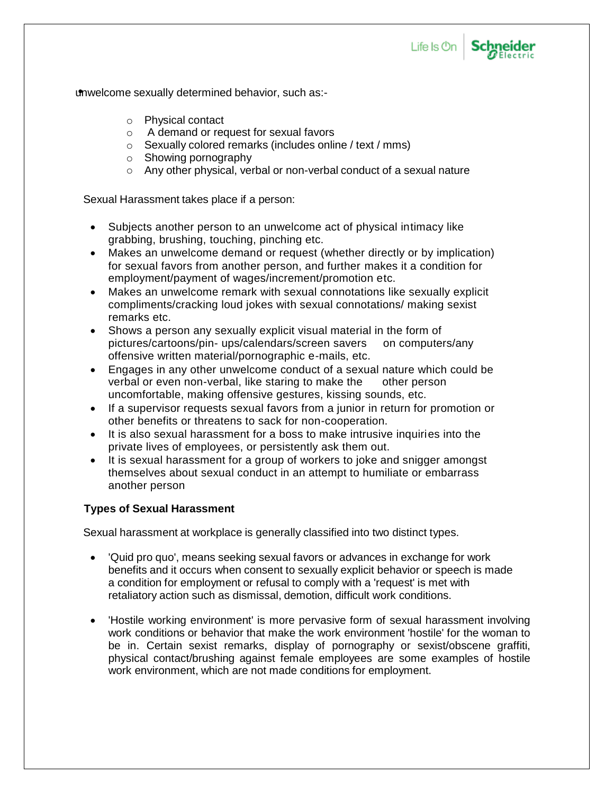

**Schneider** 

unwelcome sexually determined behavior, such as:-

- o Physical contact
- o A demand or request for sexual favors
- $\circ$  Sexually colored remarks (includes online / text / mms)
- o Showing pornography
- o Any other physical, verbal or non-verbal conduct of a sexual nature

Sexual Harassment takes place if a person:

- Subjects another person to an unwelcome act of physical intimacy like grabbing, brushing, touching, pinching etc.
- Makes an unwelcome demand or request (whether directly or by implication) for sexual favors from another person, and further makes it a condition for employment/payment of wages/increment/promotion etc.
- Makes an unwelcome remark with sexual connotations like sexually explicit compliments/cracking loud jokes with sexual connotations/ making sexist remarks etc.
- Shows a person any sexually explicit visual material in the form of pictures/cartoons/pin- ups/calendars/screen savers on computers/any offensive written material/pornographic e-mails, etc.
- Engages in any other unwelcome conduct of a sexual nature which could be verbal or even non-verbal, like staring to make the other person uncomfortable, making offensive gestures, kissing sounds, etc.
- If a supervisor requests sexual favors from a junior in return for promotion or other benefits or threatens to sack for non-cooperation.
- It is also sexual harassment for a boss to make intrusive inquiries into the private lives of employees, or persistently ask them out.
- It is sexual harassment for a group of workers to joke and snigger amongst themselves about sexual conduct in an attempt to humiliate or embarrass another person

#### **Types of Sexual Harassment**

Sexual harassment at workplace is generally classified into two distinct types.

- 'Quid pro quo', means seeking sexual favors or advances in exchange for work benefits and it occurs when consent to sexually explicit behavior or speech is made a condition for employment or refusal to comply with a 'request' is met with retaliatory action such as dismissal, demotion, difficult work conditions.
- 'Hostile working environment' is more pervasive form of sexual harassment involving work conditions or behavior that make the work environment 'hostile' for the woman to be in. Certain sexist remarks, display of pornography or sexist/obscene graffiti, physical contact/brushing against female employees are some examples of hostile work environment, which are not made conditions for employment.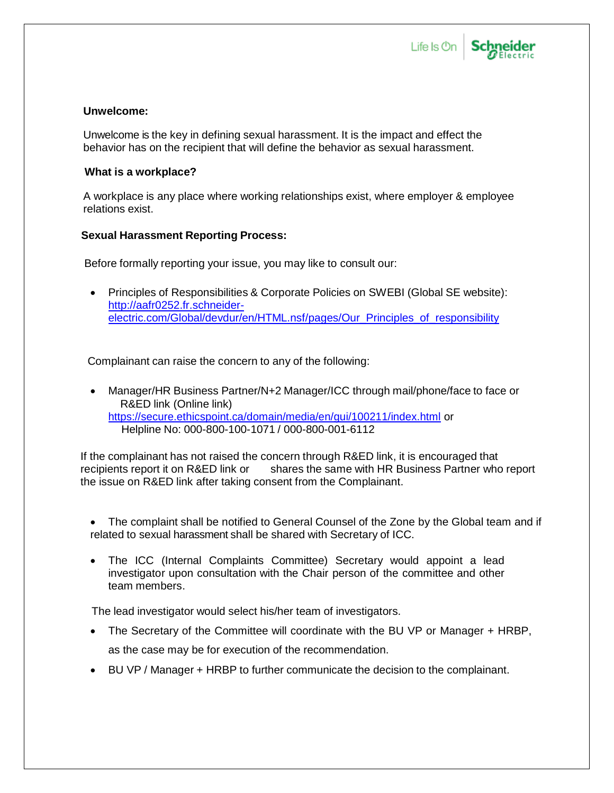



#### **Unwelcome:**

Unwelcome is the key in defining sexual harassment. It is the impact and effect the behavior has on the recipient that will define the behavior as sexual harassment.

#### **What is a workplace?**

A workplace is any place where working relationships exist, where employer & employee relations exist.

#### **Sexual Harassment Reporting Process:**

Before formally reporting your issue, you may like to consult our:

 Principles of Responsibilities & Corporate Policies on SWEBI (Global SE website): [http://aafr0252.fr.schneider](http://aafr0252.fr.schneider-electric.com/Global/devdur/en/HTML.nsf/pages/Our_Principles_of_responsibility)[electric.com/Global/devdur/en/HTML.nsf/pages/Our\\_Principles\\_of\\_responsibility](http://aafr0252.fr.schneider-electric.com/Global/devdur/en/HTML.nsf/pages/Our_Principles_of_responsibility)

Complainant can raise the concern to any of the following:

 Manager/HR Business Partner/N+2 Manager/ICC through mail/phone/face to face or R&ED link (Online link) <https://secure.ethicspoint.ca/domain/media/en/gui/100211/index.html> or Helpline No: 000-800-100-1071 / 000-800-001-6112

If the complainant has not raised the concern through R&ED link, it is encouraged that recipients report it on R&ED link or shares the same with HR Business Partner who report the issue on R&ED link after taking consent from the Complainant.

- The complaint shall be notified to General Counsel of the Zone by the Global team and if related to sexual harassment shall be shared with Secretary of ICC.
- The ICC (Internal Complaints Committee) Secretary would appoint a lead investigator upon consultation with the Chair person of the committee and other team members.

The lead investigator would select his/her team of investigators.

- The Secretary of the Committee will coordinate with the BU VP or Manager + HRBP, as the case may be for execution of the recommendation.
- BU VP / Manager + HRBP to further communicate the decision to the complainant.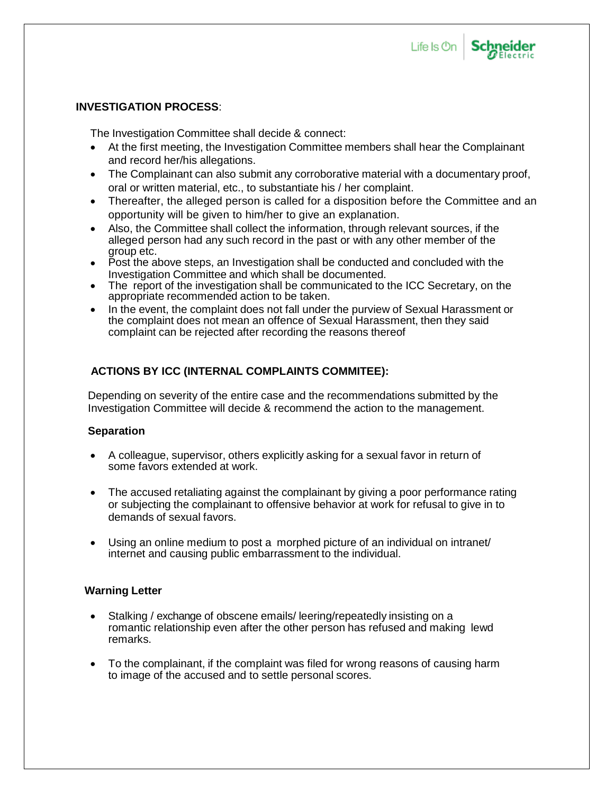

**Schneider** 

#### **INVESTIGATION PROCESS**:

The Investigation Committee shall decide & connect:

- At the first meeting, the Investigation Committee members shall hear the Complainant and record her/his allegations.
- The Complainant can also submit any corroborative material with a documentary proof, oral or written material, etc., to substantiate his / her complaint.
- Thereafter, the alleged person is called for a disposition before the Committee and an opportunity will be given to him/her to give an explanation.
- Also, the Committee shall collect the information, through relevant sources, if the alleged person had any such record in the past or with any other member of the group etc.
- Post the above steps, an Investigation shall be conducted and concluded with the Investigation Committee and which shall be documented.
- The report of the investigation shall be communicated to the ICC Secretary, on the appropriate recommended action to be taken.
- In the event, the complaint does not fall under the purview of Sexual Harassment or the complaint does not mean an offence of Sexual Harassment, then they said complaint can be rejected after recording the reasons thereof

#### **ACTIONS BY ICC (INTERNAL COMPLAINTS COMMITEE):**

Depending on severity of the entire case and the recommendations submitted by the Investigation Committee will decide & recommend the action to the management.

#### **Separation**

- A colleague, supervisor, others explicitly asking for a sexual favor in return of some favors extended at work.
- The accused retaliating against the complainant by giving a poor performance rating or subjecting the complainant to offensive behavior at work for refusal to give in to demands of sexual favors.
- Using an online medium to post a morphed picture of an individual on intranet/ internet and causing public embarrassment to the individual.

#### **Warning Letter**

- Stalking / exchange of obscene emails/ leering/repeatedly insisting on a romantic relationship even after the other person has refused and making lewd remarks.
- To the complainant, if the complaint was filed for wrong reasons of causing harm to image of the accused and to settle personal scores.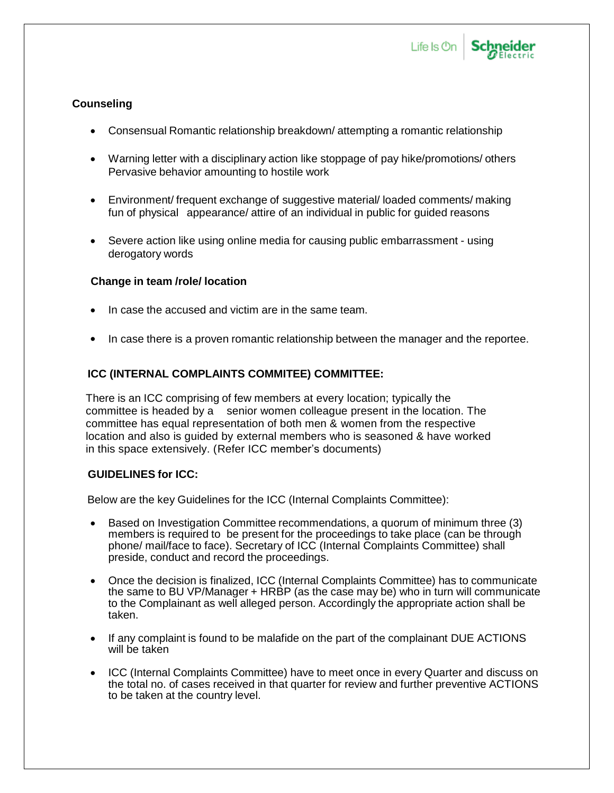

#### **Counseling**

- Consensual Romantic relationship breakdown/ attempting a romantic relationship
- Warning letter with a disciplinary action like stoppage of pay hike/promotions/ others Pervasive behavior amounting to hostile work
- Environment/ frequent exchange of suggestive material/ loaded comments/ making fun of physical appearance/ attire of an individual in public for guided reasons
- Severe action like using online media for causing public embarrassment using derogatory words

#### **Change in team /role/ location**

- In case the accused and victim are in the same team.
- In case there is a proven romantic relationship between the manager and the reportee.

#### **ICC (INTERNAL COMPLAINTS COMMITEE) COMMITTEE:**

There is an ICC comprising of few members at every location; typically the committee is headed by a senior women colleague present in the location. The committee has equal representation of both men & women from the respective location and also is guided by external members who is seasoned & have worked in this space extensively. (Refer ICC member's documents)

#### **GUIDELINES for ICC:**

Below are the key Guidelines for the ICC (Internal Complaints Committee):

- Based on Investigation Committee recommendations, a quorum of minimum three (3) members is required to be present for the proceedings to take place (can be through phone/ mail/face to face). Secretary of ICC (Internal Complaints Committee) shall preside, conduct and record the proceedings.
- Once the decision is finalized, ICC (Internal Complaints Committee) has to communicate the same to BU VP/Manager + HRBP (as the case may be) who in turn will communicate to the Complainant as well alleged person. Accordingly the appropriate action shall be taken.
- If any complaint is found to be malafide on the part of the complainant DUE ACTIONS will be taken
- ICC (Internal Complaints Committee) have to meet once in every Quarter and discuss on the total no. of cases received in that quarter for review and further preventive ACTIONS to be taken at the country level.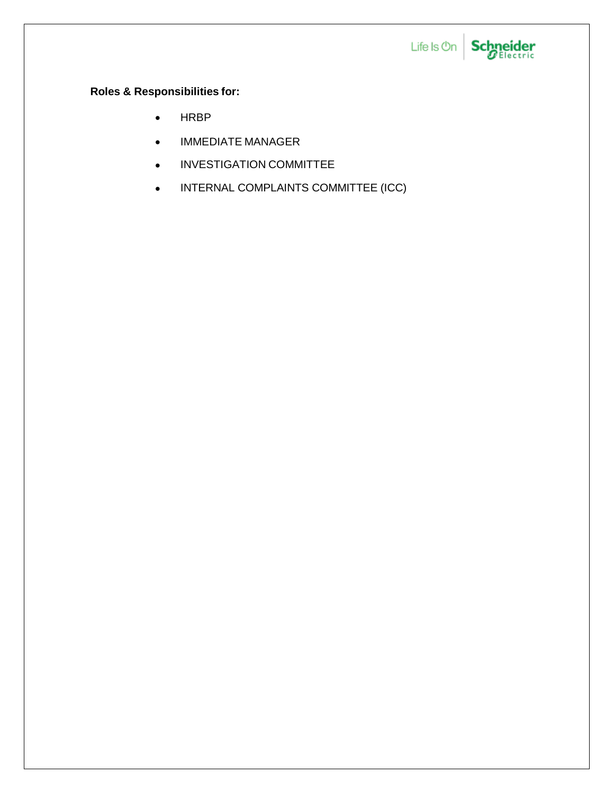

### **Roles & Responsibilities for:**

- HRBP
- IMMEDIATE MANAGER
- **INVESTIGATION COMMITTEE**
- **INTERNAL COMPLAINTS COMMITTEE (ICC)**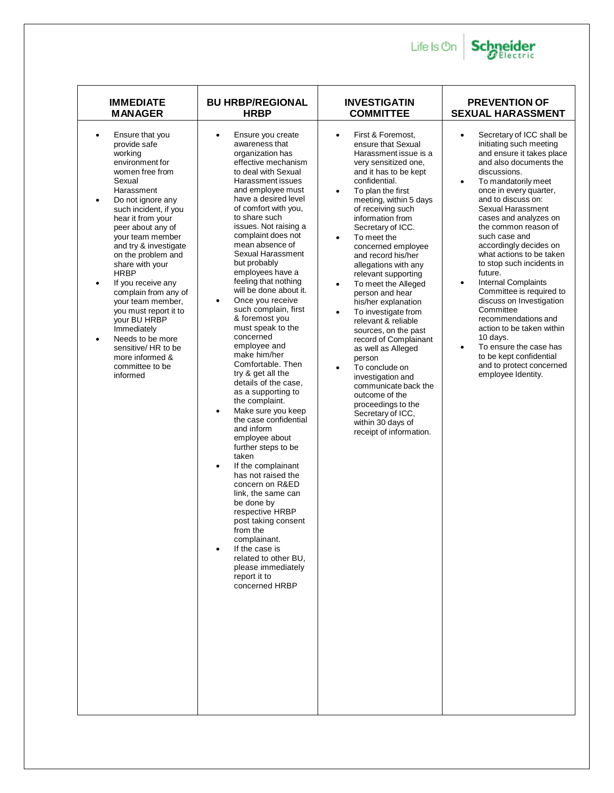

| <b>IMMEDIATE</b>                                                                                                                                                                                                                                                                                                                                                                                                                                                                                                                                                                  | <b>BU HRBP/REGIONAL</b>                                                                                                                                                                                                                                                                                                                                                                                                                                                                                                                                                                                                                                                                                                                                                                                                                                                                                                                                                                                                                                                  | <b>INVESTIGATIN</b>                                                                                                                                                                                                                                                                                                                                                                                                                                                                                                                                                                                                                                                                                                                                                                                                 | <b>PREVENTION OF</b>                                                                                                                                                                                                                                                                                                                                                                                                                                                                                                                                                                                                                                                                                                  |
|-----------------------------------------------------------------------------------------------------------------------------------------------------------------------------------------------------------------------------------------------------------------------------------------------------------------------------------------------------------------------------------------------------------------------------------------------------------------------------------------------------------------------------------------------------------------------------------|--------------------------------------------------------------------------------------------------------------------------------------------------------------------------------------------------------------------------------------------------------------------------------------------------------------------------------------------------------------------------------------------------------------------------------------------------------------------------------------------------------------------------------------------------------------------------------------------------------------------------------------------------------------------------------------------------------------------------------------------------------------------------------------------------------------------------------------------------------------------------------------------------------------------------------------------------------------------------------------------------------------------------------------------------------------------------|---------------------------------------------------------------------------------------------------------------------------------------------------------------------------------------------------------------------------------------------------------------------------------------------------------------------------------------------------------------------------------------------------------------------------------------------------------------------------------------------------------------------------------------------------------------------------------------------------------------------------------------------------------------------------------------------------------------------------------------------------------------------------------------------------------------------|-----------------------------------------------------------------------------------------------------------------------------------------------------------------------------------------------------------------------------------------------------------------------------------------------------------------------------------------------------------------------------------------------------------------------------------------------------------------------------------------------------------------------------------------------------------------------------------------------------------------------------------------------------------------------------------------------------------------------|
| <b>MANAGER</b>                                                                                                                                                                                                                                                                                                                                                                                                                                                                                                                                                                    | <b>HRBP</b>                                                                                                                                                                                                                                                                                                                                                                                                                                                                                                                                                                                                                                                                                                                                                                                                                                                                                                                                                                                                                                                              | <b>COMMITTEE</b>                                                                                                                                                                                                                                                                                                                                                                                                                                                                                                                                                                                                                                                                                                                                                                                                    | <b>SEXUAL HARASSMENT</b>                                                                                                                                                                                                                                                                                                                                                                                                                                                                                                                                                                                                                                                                                              |
| Ensure that you<br>$\bullet$<br>provide safe<br>working<br>environment for<br>women free from<br>Sexual<br>Harassment<br>Do not ignore any<br>$\bullet$<br>such incident, if you<br>hear it from your<br>peer about any of<br>your team member<br>and try & investigate<br>on the problem and<br>share with your<br><b>HRBP</b><br>If you receive any<br>$\bullet$<br>complain from any of<br>your team member,<br>you must report it to<br>your BU HRBP<br>Immediately<br>Needs to be more<br>$\bullet$<br>sensitive/ HR to be<br>more informed &<br>committee to be<br>informed | Ensure you create<br>$\bullet$<br>awareness that<br>organization has<br>effective mechanism<br>to deal with Sexual<br>Harassment issues<br>and employee must<br>have a desired level<br>of comfort with you,<br>to share such<br>issues. Not raising a<br>complaint does not<br>mean absence of<br>Sexual Harassment<br>but probably<br>employees have a<br>feeling that nothing<br>will be done about it.<br>Once you receive<br>$\bullet$<br>such complain, first<br>& foremost you<br>must speak to the<br>concerned<br>employee and<br>make him/her<br>Comfortable, Then<br>try & get all the<br>details of the case.<br>as a supporting to<br>the complaint.<br>Make sure you keep<br>$\bullet$<br>the case confidential<br>and inform<br>employee about<br>further steps to be<br>taken<br>If the complainant<br>has not raised the<br>concern on R&ED<br>link, the same can<br>be done by<br>respective HRBP<br>post taking consent<br>from the<br>complainant.<br>If the case is<br>related to other BU,<br>please immediately<br>report it to<br>concerned HRBP | First & Foremost,<br>$\bullet$<br>ensure that Sexual<br>Harassment issue is a<br>very sensitized one,<br>and it has to be kept<br>confidential.<br>To plan the first<br>$\bullet$<br>meeting, within 5 days<br>of receiving such<br>information from<br>Secretary of ICC.<br>To meet the<br>$\bullet$<br>concerned employee<br>and record his/her<br>allegations with any<br>relevant supporting<br>To meet the Alleged<br>$\bullet$<br>person and hear<br>his/her explanation<br>To investigate from<br>$\bullet$<br>relevant & reliable<br>sources, on the past<br>record of Complainant<br>as well as Alleged<br>person<br>To conclude on<br>$\bullet$<br>investigation and<br>communicate back the<br>outcome of the<br>proceedings to the<br>Secretary of ICC,<br>within 30 days of<br>receipt of information. | Secretary of ICC shall be<br>$\bullet$<br>initiating such meeting<br>and ensure it takes place<br>and also documents the<br>discussions.<br>To mandatorily meet<br>$\bullet$<br>once in every quarter,<br>and to discuss on:<br>Sexual Harassment<br>cases and analyzes on<br>the common reason of<br>such case and<br>accordingly decides on<br>what actions to be taken<br>to stop such incidents in<br>future.<br><b>Internal Complaints</b><br>$\bullet$<br>Committee is required to<br>discuss on Investigation<br>Committee<br>recommendations and<br>action to be taken within<br>10 days.<br>To ensure the case has<br>$\bullet$<br>to be kept confidential<br>and to protect concerned<br>employee Identity. |